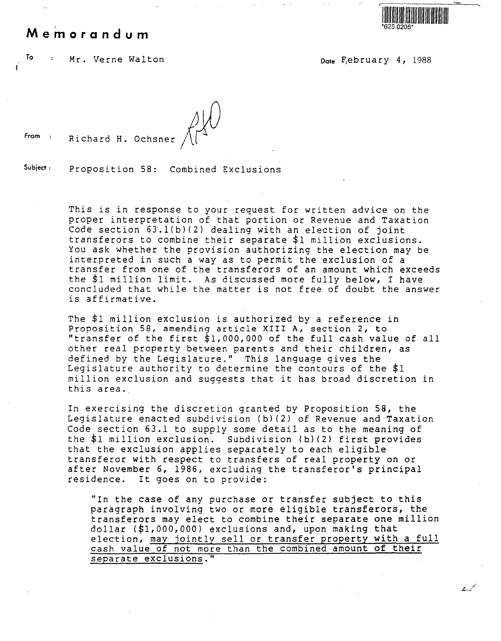## **Memorandum**



سميديد

To Mr. Verne Walton Date February 4, 1988

From : Richard H. Ochsner

## **Subject:** Proposition 58: Combined Exclusions

This is in response to your request for written advice on the proper interpretation of that portion or Revenue and Taxation Code section 63.l(b)(2) dealing with an election of joint transferors to combine their separate \$1 million exclusions. You ask whether the provision authorizing the election may be interpreted in such a way as to permit the exclusion of a transfer from one of the transferors of an amount which exceeds the \$1 million limit. As discussed more fully below, I have concluded that while the matter is not free of doubt the answer is affirmative.

The \$1 million exclusion is authorized by a reference in Proposition 58, amending article XIII A, section 2, to "transfer of the first \$1,000,000 of the full cash value of all other real property between parents and their children, as defined by the Legislature." This language gives the Legislature authority to determine the contours of the \$1 million exclusion and suggests that it has broad discretion in this area.

In exercising the discretion granted by Proposition 58, the Legislature enacted subdivision (b)(2) of Revenue and Taxation Code section 63.1 to supply some detail as to the meaning of the \$1 million exclusion. Subdivision (b)(2) first provides that the exclusion applies separately to each eligible transferor with respect to transfers of real property on or after November 6, 1986, excluding the transferor's principal residence. It goes on to provide:

"In the case of any purchase or transfer subject to this paragraph involving two or more eligible transferors, the transferors may elect to combine their separate one million dollar (\$1,000,000) exclusions and, upon making that election, may jointly sell or transfer property with a full cash value of not more than the combined amount of their separate exclusions."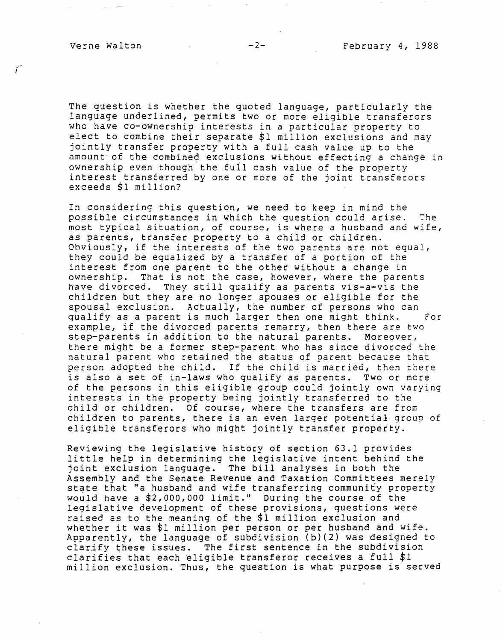, I

The question is whether the quoted language, particularly the language underlined, permits two or more eligible transferors who have co-ownership interests in a particular property to elect to combine their separate \$1 million exclusions and may jointly transfer property with a full cash value up to the amount of the combined exclusions without effecting a change in ownership even though the full cash value of the property interest transferred by one or more of the joint transferors exceeds \$1 million?

In considering this question, we need to keep in mind the possible circumstances in which the question could arise. The most typical situation, of course, is where a husband and wife, as parents, transfer property to a child or children. Obviously, if the interests of the two parents are not equal, they could be equalized by a transfer of a portion of the interest from one parent to the other without a change in<br>ownership. That is not the case, however, where the pare That is not the case, however, where the parents have divorced. They still qualify as parents vis-a-vis the children but they are no longer spouses or eligible for the spousal exclusion. Actually, the number of persons who can qualify as a parent is much larger then one might think. For example, if the divorced parents remarry, then there are two step-parents in addition to the natural parents. Moreover, there might be a former step-parent who has since divorced the natural parent who retained the status of parent because that person adopted the child. If the child is married, then there is also a set of in-laws who qualify as parents. Two or more of the persons in this eligible group could jointly own varying interests in the property being jointly transferred to the child or children. Of course, where the transfers are from children to parents, there is an even larger potential group of eligible transferors who might jointly transfer property.

Reviewing the legislative history of section 63.1 provides little help in determining the legislative intent behind the joint exclusion language. The bill analyses in both the Assembly and the Senate Revenue and Taxation Committees merely state that "a husband and wife transferring community property would have a \$2,000,000 limit." During the course of the legislative development of these provisions, questions were raised as to the meaning of the \$1 million exclusion and whether it was \$1 million per person or per husband and wife. Apparently, the language of subdivision (b)(2) was designed to clarify these issues. The first sentence in the subdivision clarifies that each eligible transferor receives a full \$1 million exclusion. Thus, the question is what purpose is served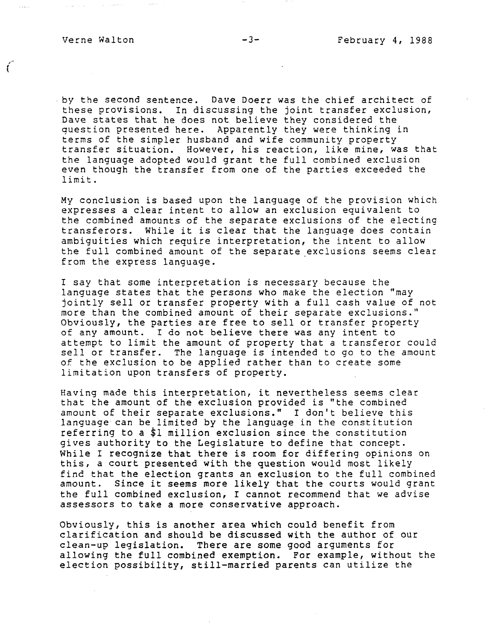وستوري والرابان

*(* 

by the second sentence. Dave Doerr was the chief architect of these provisions. In discussing the joint transfer exclusion, Dave states that he does not believe they considered the question presented here. Apparently they were thinking in terms of the simpler husband and wife community property transfer situation. However, his reaction, like mine, was that the language adopted would grant the full combined exclusion even though the transfer from one of the parties exceeded the limit.

My conclusion is based upon the language of the provision which expresses a clear intent to allow an exclusion equivalent to the combined amounts of the separate exclusions of the electing transferors. While it is clear that the language does contain ambiguities which require interpretation, the intent to allow the full combined amount of the separate exclusions seems clear from the express language.

I say that some interpretation is necessary because the language states that the persons who make the election "may jointly sell or transfer property with a full cash value of not more than the combined amount of their separate exclusions." Obviously, the parties are free to sell or transfer property of any amount. I do not believe there was any intent to attempt to limit the amount of property that a transferor could sell or transfer. The language is intended to go to the amount of the exclusion to be applied rather than to create some limitation upon transfers of property.

Having made this interpretation, it nevertheless seems clear that the amount of the exclusion provided is "the combined amount of their separate exclusions." I don't believe this language can be limited by the language in the constitution referring to a \$1 million exclusion since the constitution gives authority to the Legislature to define that concept. While I recognize that there is room for differing opinions on this, a court presented with the question would most likely find that the election grants an exclusion to the full combined amount. Since it seems more likely that the courts would grant the full combined exclusion, I cannot recommend that we advise assessors to take a more conservative approach.

Obviously, this is another area which could benefit from clarification and should be discussed with the author of our clean-up legislation. There are some good arguments for allowing the full combined exemption. For example, without the election possibility, still-married parents can utilize the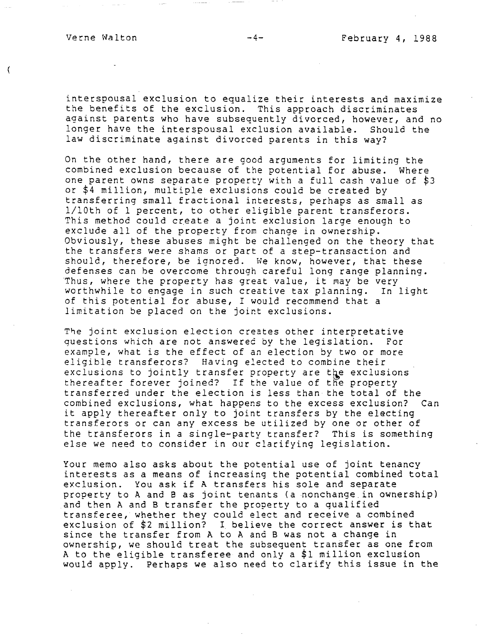€

interspousal exclusion to equalize their interests and maximize the benefits of the exclusion. This approach discriminates against parents who have subsequently divorced, however, and no longer have the interspousal exclusion available. Should the law discriminate against divorced parents in this **way?** 

On the other hand, there are good arguments for limiting the combined exclusion because of the potential for abuse. Where one parent owns separate property with a full cash value of \$3 or \$4 million, multiple exclusions could be created by transferring small fractional interests, perhaps as small as 1/l0th of 1 percent, to other eligible parent transferors. This method could create a joint exclusion large enough to exclude all of the property from change in ownership. Obviously, these abuses might be challenged on the theory that the transfers were shams or part of a step-transaction and should, therefore, be ignored. We know, however, that these defenses can be overcome through careful long range planning. Thus, where the property has great value, it *may* be very worthwhile to engage in such creative tax planning. In light of this potential for abuse, I would recommend that a limitation be placed on the joint exclusions.

The joint exclusion election creates other interpretative<br>questions which are not answered by the legislation. For questions which are not answered by the legislation. example, what is the effect of an election by two or more eligible transferors? Having elected to combine their exclusions to jointly transfer property are the exclusions thereafter forever joined? If the value of the property transferred under the election is less than the total of the combined exclusions, what happens to the excess exclusion? Can it apply thereafter only to joint transfers by the electing transferors or can any excess be utilized by one or other of the transferors in a single-party transfer? This is something else we need to consider in our clarifying legislation.

Your memo also asks about the potential use of joint tenancy interests as a means of increasing the potential combined total exclusion. You ask if A transfers his sole and separate property to A and e as joint tenants (a nonchange in ownership) and then A and B transfer the property to a qualified transferee, whether they could elect and receive a combined exclusion of \$2 million? I. believe the correct answer is that since the transfer from A to A and B was not a change in ownership, we should treat the subsequent transfer as one from A to the eligible transferee and only a \$1 million exclusion would apply. Perhaps we also need to clarify this issue in the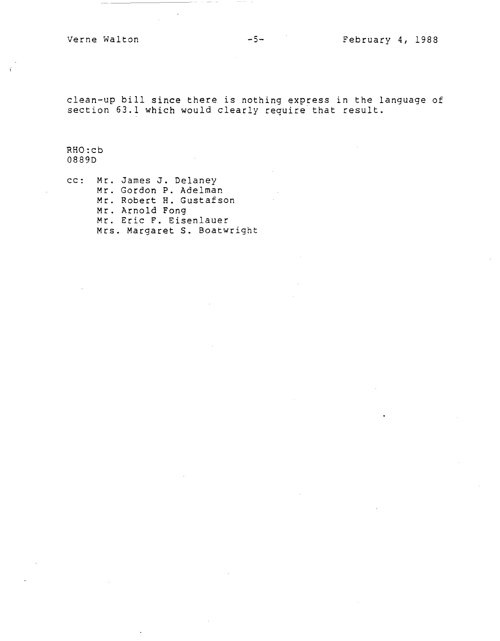clean-up bill since there is nothing express in the language of section 63.1 which would clearly require that result.

RHO: cb 0889D

cc: Mr. James J. Delaney Mr. Gordon P. Adelman Mr. Robert H. Gustafson Mr. Arnold Fong Mr. Eric F. Eisenlauer Mrs. Margaret S. Boatwright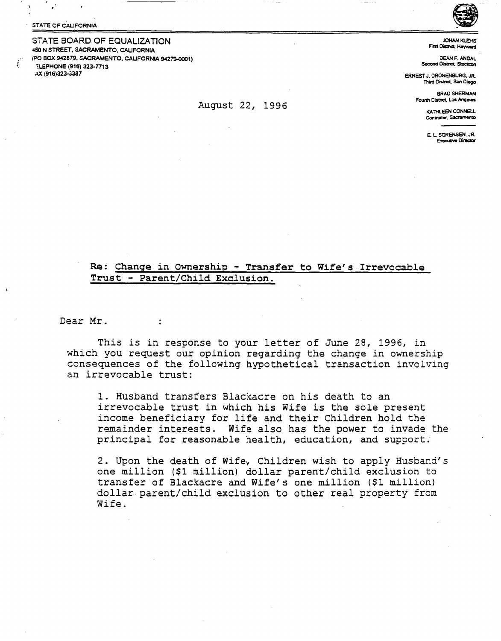STATE OF CALIFORNIA

STATE BOARD OF EQUALIZATION 450 N STREET, SACRAMENTO, CALIFORNIA <PO BOX 942879, SACRAMENTO. CALIFORNIA 94279-0001) **ELEPHONE (916) 323-7713** AX (916)323-3387

JOHAN KLEHS<br>First Oistnat, Hayward

DEAN F. ANDAL **Second District, Stockton** 

ERNESTJ.ORONENBURG,JR. Third OiSlnet **San** Diego

> BRAD SHERMAN Fourth District, Los Angeles

> > KA THLEEN CONNELL Controller, Sacramento

E. L **SORENSEN. JR. Executive Director** 

## **Re: Change in Ownershio** - **Transfer to Wife's-Irrevocable Trust** - **Parent/Child Exclusion.**

Dear Mr.

This is in response to your letter of June 28, 1996, in which you request our opinion regarding the change in ownership consequences of the following hypothetical transaction involving an irrevocable trust:

1. Husband transfers Blackacre on his death to an irrevocable trust in which his Wife is the sole present income beneficiary for life and their Children hold the remainder interests. Wife also has the power to invade the principal for reasonable health, education, and support:

2. Upon the death of Wife., Children wish to apply Husband's one million (\$1 million) dollar parent/child exclusion to transfer of Blackacre and Wife's one million (\$1 million) dollar parent/child exclusion to other real property from Wife.

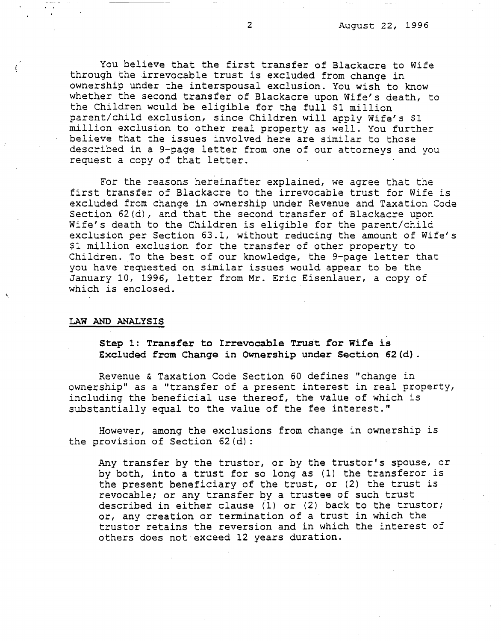You believe that the first transfer of Blackacre to Wife through the irrevocable trust is excluded from change in ownership under the interspousal exclusion. You wish to know whether the second transfer of Blackacre upon Wife's death, to the Children would be eligible for the full \$1 million parent/child exclusion, since Children will apply Wife's \$1 million exclusion to other real property as well. You further believe that the issues involved here are similar to those described in a 9-page letter from one of our attorneys and you request a copy of that letter.

For the reasons hereinafter explained, we agree that the first transfer of Blackacre to the irrevocable trust for Wife is excluded from change in ownership under Revenue and Taxation Code Section 62(d), and that the second transfer of Blackacre upon Wife's death to the Children is eligible for the parent/child exclusion per Section 63.1, without reducing the amount of Wife's \$1 million exclusion for the transfer of other property to Children. To the best of our knowledge, the 9-page letter that you have requested on similar issues would appear to be the January 10, 1996, letter from Mr. Eric Eisenlauer, a copy of which is enclosed.

## **LAW AND ANALYSIS**

 $\mathfrak{g}$ 

**Step 1: Transfer to Irrevocable Trust for Wife is Excluded from Change in Ownership under Section 62(d).** 

Revenue & Taxation Code Section 60 defines "change in ownership" as a "transfer of a present interest in real property, including the beneficial use thereof, the value of which is substantially equal to the value of the fee interest."

However, among the exclusions from change in ownership is the provision of Section 62(d):

Any transfer by the trustor, or by the trustor's spouse, or by both, into a trust for so long as (1) the transferor is the present beneficiary of the trust, or (2) the trust is revocable; or any transfer by a trustee of such trust described in either clause  $(1)$  or  $(2)$  back to the trustor; or, any creation or termination of a trust in which the truster retains the reversion and in which the interest of others does not exceed 12 years duration.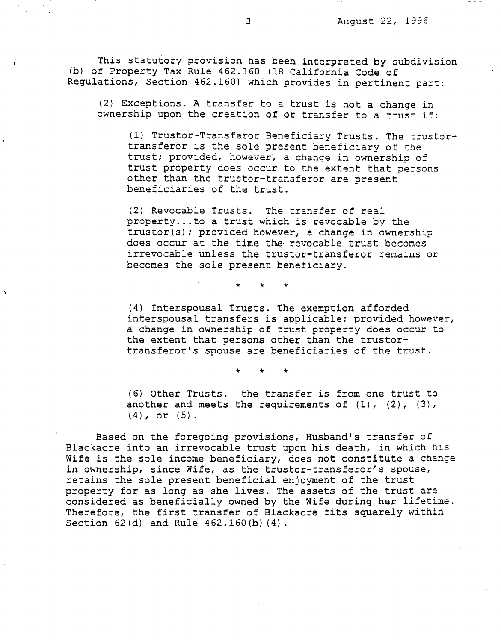This statutory provision has been interpreted by subdivision (b) of Property Tax Rule 462.160 (18 California Code of Regulations, Section 462.160) which provides in pertinent part:

(2) Exceptions. A transfer to a trust is not a change in ownership upon the creation of or transfer to a trust if:

(1) Trustor-Transferor Beneficiary Trusts. The trustortransferor is the sole present beneficiary of the trust; provided, however, a change in ownership of trust property does occur to the extent that persons other than the trustor-transferor are present beneficiaries of the trust.

(2) Revocable Trusts. The transfer of real property... to a trust which is revocable by the trustor(s); provided however, a change in ownership does occur at the time the revocable trust becomes irrevocable unless the trustor-transferor remains or becomes the sole present beneficiary.

\* \* \*

(4) Interspousal Trusts. The exemption afforded interspousal transfers is applicable; provided however, a change in ownership of trust property does occur to the extent that persons other than the trustortransferor's spouse are beneficiaries of the trust.

\* \* \*

(6) Other Trusts. the transfer is from one trust to another and meets the requirements of  $(1)$ ,  $(2)$ ,  $(3)$ ,  $(4)$ , or  $(5)$ .

Based on the foregoing provisions, Husband's transfer of Blackacre into an irrevocable trust upon his death, in which his Wife is the sole income beneficiary, does not constitute a change in ownership, since Wife, as the trustor-transferor's spouse, retains the sole present beneficial enjoyment of the trust property for as long as she lives. The assets of the trust are considered as beneficially owned by the Wife during her lifetime. Therefore, the first transfer of Blackacre fits squarely within Section 62(d} and Rule 462.160(b) (4).

L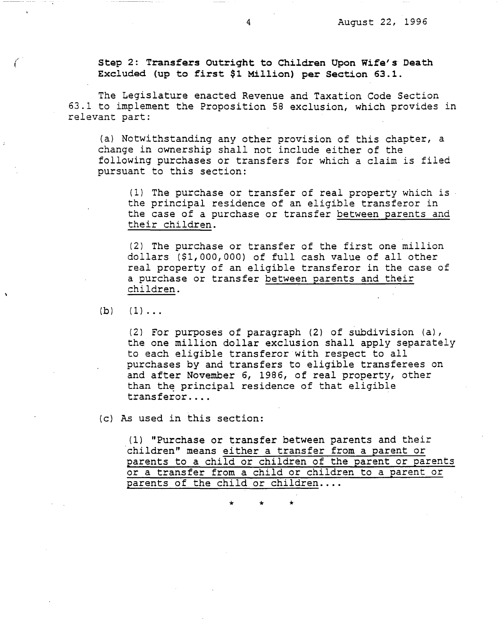**Step 2: Transfers Outright to Children Upon Wife's Death Excluded (up to first \$1 Million) per Section 63.l.** 

The Legislature enacted Revenue and Taxation Code Section 63.1 to implement the Proposition 58 exclusion, which provides in relevant part:

(a) Notwithstanding any other provision of this chapter, a change in ownership shall not include either of the following purchases or transfers for which a claim is filed pursuant to this section:

(1) The purchase or transfer of real property which is the principal residence of an eligible transferor in the case of a purchase or transfer between parents and their children.

(2) The purchase or transfer of the first one million dollars (\$1,000,000) of full cash value of all other real property of an eligible transferor in the case of a purchase or transfer between parents and their children.

 $(b)$   $(1)$ ...

*(.* 

(2) For purposes of paragraph (2) of subdivision (a), the one million dollar exclusion shall apply separately to each eligible transferor with respect to all purchases by and transfers to eligible transferees on and after November 6, 1986, of real property, other than the principal residence of that eligible transferor ....

(c) As used in this section:

(1) "Purchase or transfer between parents and their children" means either a transfer from a parent or parents to a child or children of the parent or parents or a transfer from a child or children to a parent or parents of the child or children....

\* \* \*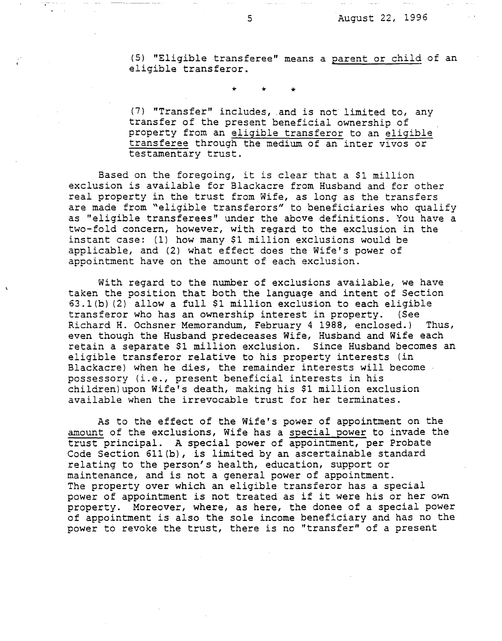(5) "Eligible transferee" means a parent or child of an eligible transferor.

\* \* \*

(7) "Transfer" includes, .and is not limited to, any transfer of the present beneficial ownership of property from an eligible transferor to an eligible transferee through the medium of an inter vivos or testamentary trust.

Based on the foregoing, it is clear that a \$1 million exclusion is available for Blackacre from Husband and for other real property in the trust from Wife, as long as the transfers are made from "eligible transferors" to beneficiaries who qualify as "eligible transferees" under the above definitions. You have a two-fold concern, however, with regard to the exclusion in the instant case: (1) how many \$1 million exclusions would be applicable, and (2) what effect does the Wife's power of appointment have on the amount of each exclusion.

With regard to the number of exclusions available, we have taken the position that both the language and intent of Section 63.l(b) (2) allow a full \$1 million exclusion to each eligible transferor who has an ownership interest in property. (See Richard H. Ochsner Memorandum, February 4 1988, enclosed.) Thus, even though the Husband predeceases Wife, Husband and Wife each retain a separate \$1 million exclusion. Since Husband becomes an eligible transferor relative to his property interests (in Blackacre) when he dies, the remainder interests will become possessory (i.e., present beneficial interests in his children)upon Wife's death, making his \$1 million exclusion available when the irrevocable trust for her terminates.

As to the effect of the Wife's power of appointment on the amount of the exclusions, Wife has a soecial power to invade the trust principal. A special power of appointment, per Probate Code Section 6ll(b), is limited by an ascertainable standard relating to the person's health, education, support or maintenance, and is not a general power of appointment. The property over which an eligible transferor has a special power of appointment is not treated as if it were his or her own property. Moreover, where, as here, the donee of a special power of appointment is also the sole income beneficiary and has no the power to revoke the trust, there is no "transfer" of a present